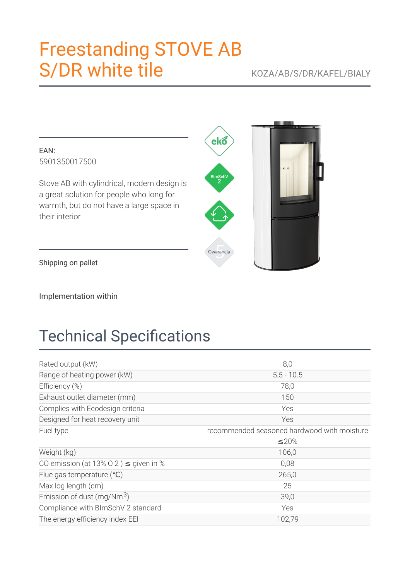# **Freestanding STOVE AB S/DR white tile**

### KOZA/AB/S/DR/KAFEL/BIALY

EAN: 5901350017500

Stove AB with cylindrical, modern design is a great solution for people who long for warmth, but do not have a large space in their interior.

Shipping on pallet

Implementation within

## **Technical Specifications**

| Rated output (kW)                          | 8,0                                         |
|--------------------------------------------|---------------------------------------------|
| Range of heating power (kW)                | $5.5 - 10.5$                                |
| Efficiency (%)                             | 78,0                                        |
| Exhaust outlet diameter (mm)               | 150                                         |
| Complies with Ecodesign criteria           | Yes                                         |
| Designed for heat recovery unit            | Yes                                         |
| Fuel type                                  | recommended seasoned hardwood with moisture |
|                                            | ≤20%                                        |
| Weight (kg)                                | 106,0                                       |
| CO emission (at 13% 0 2) $\leq$ given in % | 0,08                                        |
| Flue gas temperature $(°C)$                | 265,0                                       |
| Max log length (cm)                        | 25                                          |
| Emission of dust (mg/Nm $3$ )              | 39,0                                        |
| Compliance with BImSchV 2 standard         | Yes                                         |
| The energy efficiency index EEI            | 102,79                                      |

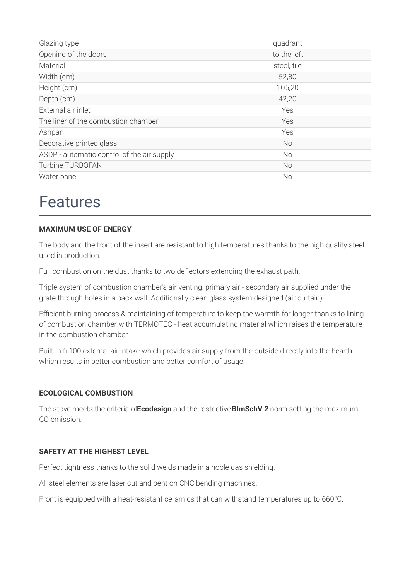| Glazing type                               | quadrant    |
|--------------------------------------------|-------------|
| Opening of the doors                       | to the left |
| Material                                   | steel, tile |
| Width (cm)                                 | 52,80       |
| Height (cm)                                | 105,20      |
| Depth (cm)                                 | 42,20       |
| External air inlet                         | Yes         |
| The liner of the combustion chamber        | Yes         |
| Ashpan                                     | Yes         |
| Decorative printed glass                   | <b>No</b>   |
| ASDP - automatic control of the air supply | <b>No</b>   |
| <b>Turbine TURBOFAN</b>                    | <b>No</b>   |
| Water panel                                | <b>No</b>   |

### **Features**

#### **MAXIMUM USE OF ENERGY**

The body and the front of the insert are resistant to high temperatures thanks to the high quality steel used in production.

Full combustion on the dust thanks to two deflectors extending the exhaust path.

Triple system of combustion chamber's air venting: primary air - secondary air supplied under the grate through holes in a back wall. Additionally clean glass system designed (air curtain).

Efficient burning process & maintaining of temperature to keep the warmth for longer thanks to lining of combustion chamber with TERMOTEC - heat accumulating material which raises the temperature in the combustion chamber.

Built-in fi 100 external air intake which provides air supply from the outside directly into the hearth which results in better combustion and better comfort of usage.

#### **ECOLOGICAL COMBUSTION**

The stove meets the criteria of Ecodesign and the restrictive BImSchV 2 norm setting the maximum CO emission.

#### SAFETY AT THE HIGHEST LEVEL

Perfect tightness thanks to the solid welds made in a noble gas shielding.

All steel elements are laser cut and bent on CNC bending machines.

Front is equipped with a heat-resistant ceramics that can withstand temperatures up to 660°C.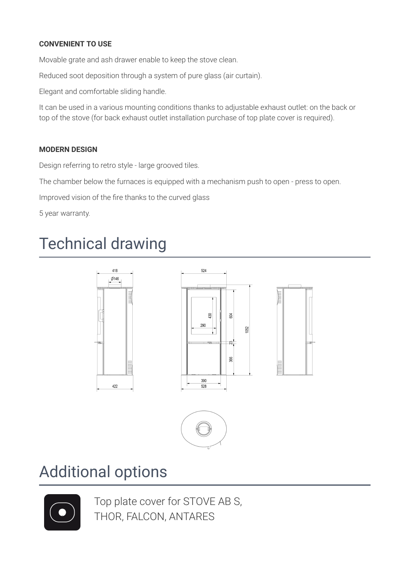### **CONVENIENT TO USE**

Movable grate and ash drawer enable to keep the stove clean.

Reduced soot deposition through a system of pure glass (air curtain).

Elegant and comfortable sliding handle.

It can be used in a various mounting conditions thanks to adjustable exhaust outlet: on the back or top of the stove (for back exhaust outlet installation purchase of top plate cover is required).

### **MODERN DESIGN**

Design referring to retro style - large grooved tiles.

The chamber below the furnaces is equipped with a mechanism push to open - press to open.

Improved vision of the fire thanks to the curved glass

5 year warranty.

## **Technical drawing**





### **Additional options**



Top plate cover for STOVE AB S, THOR, FALCON, ANTARES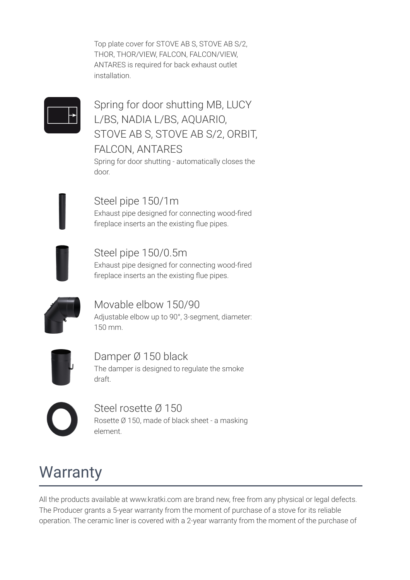Top plate cover for STOVE AB S, STOVE AB S/2, THOR, THOR/VIEW, FALCON, FALCON/VIEW, ANTARES is required for back exhaust outlet installation.



Spring for door shutting MB, LUCY L/BS, NADIA L/BS, AQUARIO, STOVE AB S, STOVE AB S/2, ORBIT, **FALCON, ANTARES** 

Spring for door shutting - automatically closes the door.

Steel pipe 150/1m Exhaust pipe designed for connecting wood-fired fireplace inserts an the existing flue pipes.

Steel pipe 150/0.5m Exhaust pipe designed for connecting wood-fired fireplace inserts an the existing flue pipes.



Movable elbow 150/90 Adjustable elbow up to 90°, 3-segment, diameter:  $150 \text{ mm}$ 



Damper Ø 150 black The damper is designed to regulate the smoke draft.

Steel rosette Ø 150 Rosette Ø 150, made of black sheet - a masking element.

## **Warranty**

All the products available at www.kratki.com are brand new, free from any physical or legal defects. The Producer grants a 5-year warranty from the moment of purchase of a stove for its reliable operation. The ceramic liner is covered with a 2-year warranty from the moment of the purchase of